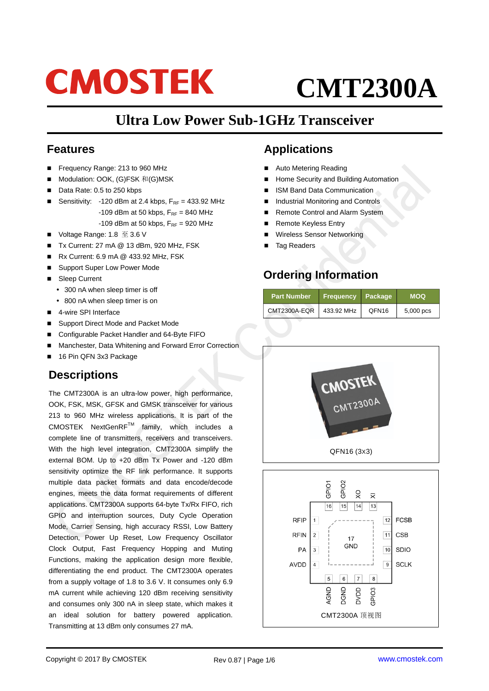# **CMOSTEK**

# **CMT2300A**

# **Ultra Low Power Sub-1GHz Transceiver**

#### **Features**

- Frequency Range: 213 to 960 MHz
- Modulation: OOK, (G)FSK 和(G)MSK
- Data Rate: 0.5 to 250 kbps
- Sensitivity:  $-120$  dBm at 2.4 kbps,  $F_{RF} = 433.92$  MHz
	- -109 dBm at 50 kbps,  $F_{RF} = 840$  MHz
	- -109 dBm at 50 kbps,  $F_{RF}$  = 920 MHz
- Voltage Range: 1.8 至 3.6 V
- Tx Current: 27 mA @ 13 dBm, 920 MHz, FSK
- Rx Current: 6.9 mA @ 433.92 MHz, FSK
- Support Super Low Power Mode
- Sleep Current
	- 300 nA when sleep timer is off
	- 800 nA when sleep timer is on
- 4-wire SPI Interface
- Support Direct Mode and Packet Mode
- Configurable Packet Handler and 64-Byte FIFO
- Manchester, Data Whitening and Forward Error Correction
- 16 Pin QFN 3x3 Package

### **Descriptions**

The CMT2300A is an ultra-low power, high performance, OOK, FSK, MSK, GFSK and GMSK transceiver for various 213 to 960 MHz wireless applications. It is part of the CMOSTEK NextGenRFTM family, which includes a complete line of transmitters, receivers and transceivers. With the high level integration, CMT2300A simplify the external BOM. Up to +20 dBm Tx Power and -120 dBm sensitivity optimize the RF link performance. It supports multiple data packet formats and data encode/decode engines, meets the data format requirements of different applications. CMT2300A supports 64-byte Tx/Rx FIFO, rich GPIO and interruption sources, Duty Cycle Operation Mode, Carrier Sensing, high accuracy RSSI, Low Battery Detection, Power Up Reset, Low Frequency Oscillator Clock Output, Fast Frequency Hopping and Muting Functions, making the application design more flexible, differentiating the end product. The CMT2300A operates from a supply voltage of 1.8 to 3.6 V. It consumes only 6.9 mA current while achieving 120 dBm receiving sensitivity and consumes only 300 nA in sleep state, which makes it an ideal solution for battery powered application. Transmitting at 13 dBm only consumes 27 mA.

## **Applications**

- Auto Metering Reading
- Home Security and Building Automation
- ISM Band Data Communication
- Industrial Monitoring and Controls
- Remote Control and Alarm System
- Remote Keyless Entry
- Wireless Sensor Networking
- Tag Readers

# **Ordering Information**

| <b>Part Number</b> | <b>Frequency</b> | Package           | <b>MOQ</b>  |
|--------------------|------------------|-------------------|-------------|
| CMT2300A-EQR       | 433.92 MHz       | QFN <sub>16</sub> | $5,000$ pcs |

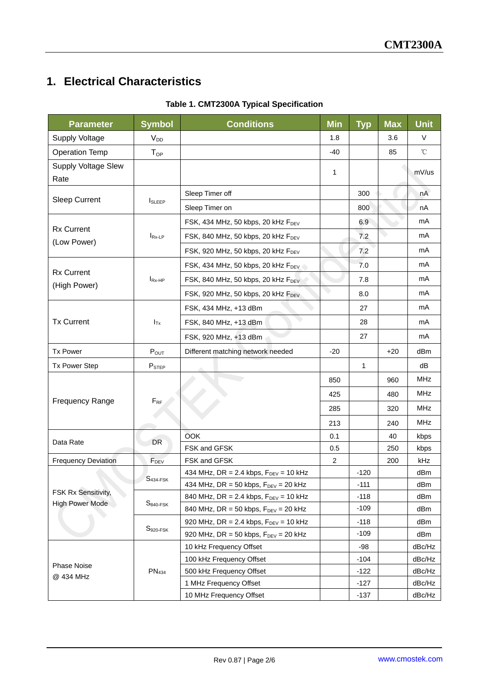# **1. Electrical Characteristics**

| <b>Parameter</b>           | <b>Symbol</b>        | <b>Conditions</b>                                | <b>Min</b>    | <b>Typ</b>   | <b>Max</b> | <b>Unit</b>       |
|----------------------------|----------------------|--------------------------------------------------|---------------|--------------|------------|-------------------|
| Supply Voltage             | $V_{DD}$             |                                                  | 1.8           |              | 3.6        | V                 |
| <b>Operation Temp</b>      | $T_{OP}$             |                                                  | $-40$         |              | 85         | $^\circ\!{\rm C}$ |
| <b>Supply Voltage Slew</b> |                      |                                                  |               |              |            |                   |
| Rate                       |                      |                                                  | 1             |              |            | mV/us             |
|                            |                      | Sleep Timer off                                  |               | 300          |            | nA                |
| <b>Sleep Current</b>       | <b>I</b> SLEEP       | Sleep Timer on                                   |               | 800          |            | nA                |
|                            |                      | FSK, 434 MHz, 50 kbps, 20 kHz F <sub>DEV</sub>   |               | 6.9          |            | mA                |
| <b>Rx Current</b>          | $I_{Rx-LP}$          | FSK, 840 MHz, 50 kbps, 20 kHz F <sub>DEV</sub>   |               | 7.2          |            | mA                |
| (Low Power)                |                      | FSK, 920 MHz, 50 kbps, 20 kHz FDEV               |               | 7.2          |            | mA                |
|                            |                      | FSK, 434 MHz, 50 kbps, 20 kHz FDEV               |               | 7.0          |            | mA                |
| <b>Rx Current</b>          | $I_{\mathsf{Rx-HP}}$ | FSK, 840 MHz, 50 kbps, 20 kHz FDEV               |               | 7.8          |            | mA                |
| (High Power)               |                      | FSK, 920 MHz, 50 kbps, 20 kHz FDEV               | $\rightarrow$ | 8.0          |            | mA                |
|                            |                      | FSK, 434 MHz, +13 dBm                            |               | 27           |            | mA                |
| <b>Tx Current</b>          | $I_{Tx}$             | FSK, 840 MHz, +13 dBm                            |               | 28           |            | mA                |
|                            |                      | FSK, 920 MHz, +13 dBm                            |               | 27           |            | mA                |
| <b>Tx Power</b>            | $P_{OUT}$            | Different matching network needed                | $-20$         |              | $+20$      | dBm               |
| <b>Tx Power Step</b>       | $P_{STEP}$           |                                                  |               | $\mathbf{1}$ |            | dB                |
|                            | $F_{RF}$             |                                                  | 850           |              | 960        | <b>MHz</b>        |
|                            |                      |                                                  | 425           |              | 480        | <b>MHz</b>        |
| <b>Frequency Range</b>     |                      |                                                  | 285           |              | 320        | <b>MHz</b>        |
|                            |                      |                                                  | 213           |              | 240        | <b>MHz</b>        |
|                            | DR                   | OOK                                              | 0.1           |              | 40         | kbps              |
| Data Rate                  |                      | FSK and GFSK                                     | 0.5           |              | 250        | kbps              |
| <b>Frequency Deviation</b> | $F_{DEV}$            | FSK and GFSK                                     | 2             |              | 200        | kHz               |
|                            | $S434-FSK$           | 434 MHz, DR = 2.4 kbps, $F_{DEV}$ = 10 kHz       |               | $-120$       |            | dBm               |
|                            |                      | 434 MHz, DR = 50 kbps, $F_{DEV}$ = 20 kHz        |               | $-111$       |            | dBm               |
| FSK Rx Sensitivity,        |                      | 840 MHz, DR = 2.4 kbps, $F_{DEV}$ = 10 kHz       |               | $-118$       |            | dBm               |
| <b>High Power Mode</b>     | $S840-FSK$           | 840 MHz, DR = 50 kbps, $F_{DEV}$ = 20 kHz        |               | $-109$       |            | dBm               |
|                            |                      | 920 MHz, DR = 2.4 kbps, $F_{DEV}$ = 10 kHz       |               | -118         |            | dBm               |
|                            | $S920-FSK$           | 920 MHz, DR = 50 kbps, $F_{\text{DEV}}$ = 20 kHz |               | $-109$       |            | dBm               |
|                            | PN <sub>434</sub>    | 10 kHz Frequency Offset                          |               | $-98$        |            | dBc/Hz            |
|                            |                      | 100 kHz Frequency Offset                         |               | $-104$       |            | dBc/Hz            |
| <b>Phase Noise</b>         |                      | 500 kHz Frequency Offset                         |               | $-122$       |            | dBc/Hz            |
| @ 434 MHz                  |                      | 1 MHz Frequency Offset                           |               | $-127$       |            | dBc/Hz            |
|                            |                      | 10 MHz Frequency Offset                          |               | $-137$       |            | dBc/Hz            |

#### **Table 1. CMT2300A Typical Specification**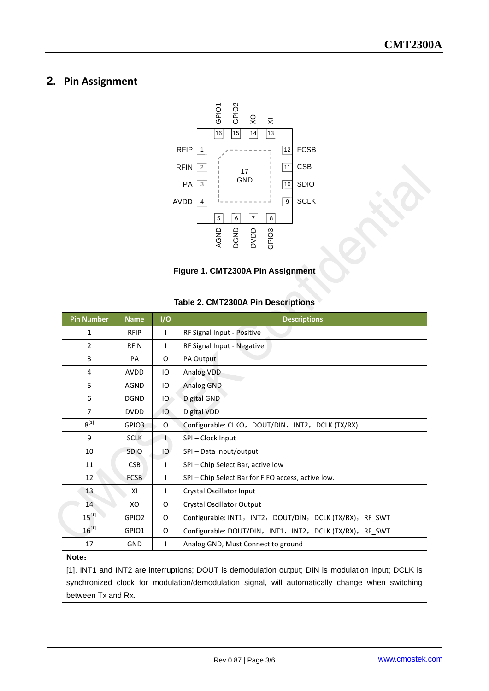#### **2. Pin Assignment**



**Figure 1. CMT2300A Pin Assignment**

#### **Table 2. CMT2300A Pin Descriptions**

| <b>Pin Number</b> | <b>Name</b>       | I/O          | <b>Descriptions</b>                                      |  |
|-------------------|-------------------|--------------|----------------------------------------------------------|--|
| 1                 | <b>RFIP</b>       | I            | RF Signal Input - Positive                               |  |
| $\overline{2}$    | <b>RFIN</b>       | I            | RF Signal Input - Negative                               |  |
| 3                 | PA                | O            | PA Output                                                |  |
| 4                 | <b>AVDD</b>       | IO           | Analog VDD                                               |  |
| 5                 | <b>AGND</b>       | IО           | Analog GND                                               |  |
| 6                 | <b>DGND</b>       | IО           | Digital GND                                              |  |
| $\overline{7}$    | <b>DVDD</b>       | IO           | Digital VDD                                              |  |
| $8^{[1]}$         | GPIO3             | O            | Configurable: CLKO, DOUT/DIN, INT2, DCLK (TX/RX)         |  |
| 9                 | <b>SCLK</b>       | $\mathsf{L}$ | SPI-Clock Input                                          |  |
| 10                | <b>SDIO</b>       | IО           | SPI - Data input/output                                  |  |
| 11                | <b>CSB</b>        | $\mathbf{I}$ | SPI - Chip Select Bar, active low                        |  |
| 12                | <b>FCSB</b>       | L            | SPI – Chip Select Bar for FIFO access, active low.       |  |
| 13                | XI                | L            | Crystal Oscillator Input                                 |  |
| 14                | XO                | O            | Crystal Oscillator Output                                |  |
| $15^{[1]}$        | GPIO <sub>2</sub> | O            | Configurable: INT1, INT2, DOUT/DIN, DCLK (TX/RX), RF SWT |  |
| $16^{[1]}$        | GPIO1             | O            | Configurable: DOUT/DIN, INT1, INT2, DCLK (TX/RX), RF SWT |  |
| 17                | <b>GND</b>        | L            | Analog GND, Must Connect to ground                       |  |
| <b>Nato</b>       |                   |              |                                                          |  |

**Note**:

[1]. INT1 and INT2 are interruptions; DOUT is demodulation output; DIN is modulation input; DCLK is synchronized clock for modulation/demodulation signal, will automatically change when switching between Tx and Rx.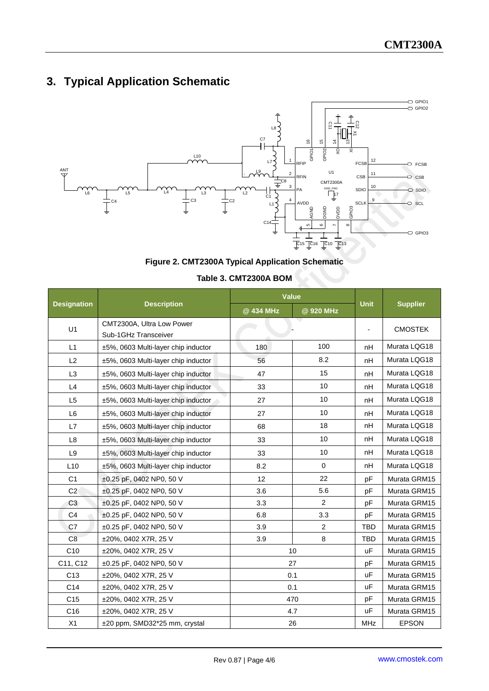# **3. Typical Application Schematic**



#### **Figure 2. CMT2300A Typical Application Schematic**

|                    |                                                   | Value      |                |              |                 |  |
|--------------------|---------------------------------------------------|------------|----------------|--------------|-----------------|--|
| <b>Designation</b> | <b>Description</b>                                | @ 434 MHz  | @ 920 MHz      | <b>Unit</b>  | <b>Supplier</b> |  |
| U <sub>1</sub>     | CMT2300A, Ultra Low Power<br>Sub-1GHz Transceiver |            |                |              | <b>CMOSTEK</b>  |  |
| L1                 | ±5%, 0603 Multi-layer chip inductor               | 180        | 100            | nH           | Murata LQG18    |  |
| L2                 | ±5%, 0603 Multi-layer chip inductor               | 56         | 8.2            | nH           | Murata LQG18    |  |
| L3                 | ±5%, 0603 Multi-layer chip inductor               | 47         | 15             | nH           | Murata LQG18    |  |
| L4                 | ±5%, 0603 Multi-layer chip inductor               | 33         | 10             | nH           | Murata LQG18    |  |
| L <sub>5</sub>     | ±5%, 0603 Multi-layer chip inductor               | 10<br>27   |                | nH           | Murata LQG18    |  |
| L <sub>6</sub>     | ±5%, 0603 Multi-layer chip inductor               | 10<br>27   |                | nH           | Murata LQG18    |  |
| L7                 | 18<br>±5%, 0603 Multi-layer chip inductor<br>68   |            | nH             | Murata LQG18 |                 |  |
| L <sub>8</sub>     | ±5%, 0603 Multi-layer chip inductor               | 10<br>33   |                | nH           | Murata LQG18    |  |
| L <sub>9</sub>     | ±5%, 0603 Multi-layer chip inductor               | 33         | 10             | nH           | Murata LQG18    |  |
| L10                | ±5%, 0603 Multi-layer chip inductor               | 8.2        | $\mathbf 0$    | nH           | Murata LQG18    |  |
| C <sub>1</sub>     | ±0.25 pF, 0402 NP0, 50 V                          | 12         | 22             | pF           | Murata GRM15    |  |
| C <sub>2</sub>     | ±0.25 pF, 0402 NP0, 50 V                          | 5.6<br>3.6 |                | pF           | Murata GRM15    |  |
| C <sub>3</sub>     | ±0.25 pF, 0402 NP0, 50 V                          | 3.3        | $\overline{2}$ | pF           | Murata GRM15    |  |
| C <sub>4</sub>     | ±0.25 pF, 0402 NP0, 50 V                          | 6.8        | 3.3            | pF           | Murata GRM15    |  |
| C7                 | ±0.25 pF, 0402 NP0, 50 V                          | 3.9        | $\overline{2}$ | <b>TBD</b>   | Murata GRM15    |  |
| C <sub>8</sub>     | ±20%, 0402 X7R, 25 V                              | 3.9        | 8              | <b>TBD</b>   | Murata GRM15    |  |
| C10                | $±20\%$ , 0402 X7R, 25 V                          | 10         |                | uF           | Murata GRM15    |  |
| C11, C12           | $\pm 0.25$ pF, 0402 NP0, 50 V                     | 27         |                | pF           | Murata GRM15    |  |
| C <sub>13</sub>    | ±20%, 0402 X7R, 25 V                              | 0.1        |                | <b>uF</b>    | Murata GRM15    |  |
| C <sub>14</sub>    | ±20%, 0402 X7R, 25 V                              | 0.1        |                | uF           | Murata GRM15    |  |
| C <sub>15</sub>    | ±20%, 0402 X7R, 25 V                              | 470        |                | pF           | Murata GRM15    |  |
| C16                | ±20%, 0402 X7R, 25 V                              | 4.7        |                | <b>uF</b>    | Murata GRM15    |  |
| X1                 | ±20 ppm, SMD32*25 mm, crystal                     | 26         |                | <b>MHz</b>   | <b>EPSON</b>    |  |

#### **Table 3. CMT2300A BOM**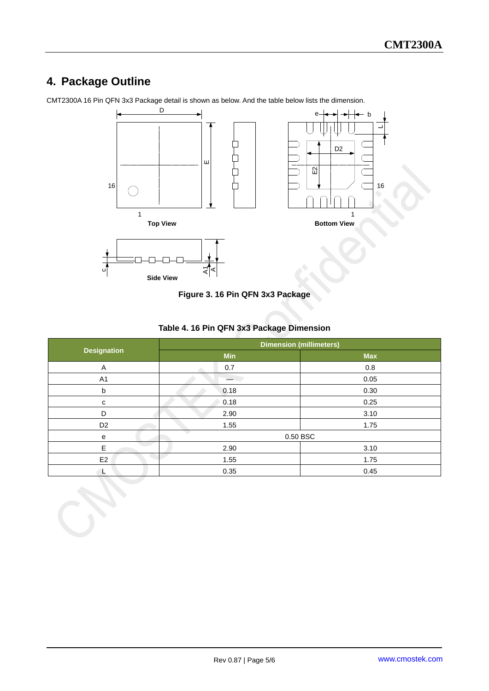# **4. Package Outline**

CMT2300A 16 Pin QFN 3x3 Package detail is shown as below. And the table below lists the dimension.





#### **Table 4. 16 Pin QFN 3x3 Package Dimension**

|                    | <b>Dimension (millimeters)</b> |            |  |
|--------------------|--------------------------------|------------|--|
| <b>Designation</b> | <b>Min</b>                     | <b>Max</b> |  |
| A                  | 0.7                            | 0.8        |  |
| A <sub>1</sub>     |                                | 0.05       |  |
| b                  | 0.18                           | 0.30       |  |
| C                  | 0.18                           | 0.25       |  |
| D                  | 2.90                           | 3.10       |  |
| D <sub>2</sub>     | 1.55                           | 1.75       |  |
| $\mathbf{e}$       | 0.50 BSC                       |            |  |
| E                  | 2.90                           | 3.10       |  |
| E <sub>2</sub>     | 1.55                           | 1.75       |  |
| L                  | 0.35                           | 0.45       |  |